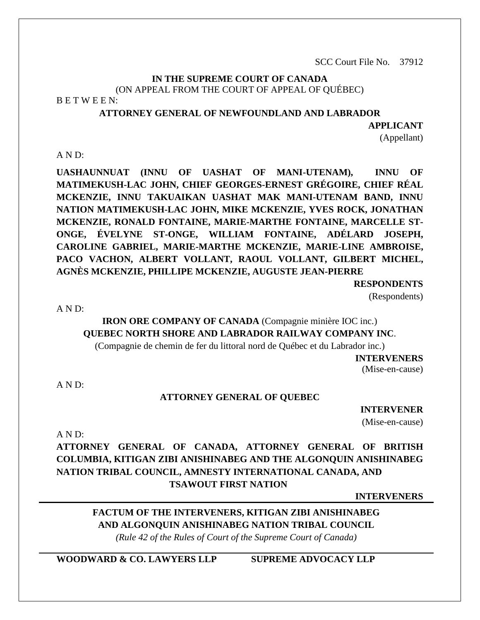SCC Court File No. 37912

#### **IN THE SUPREME COURT OF CANADA** (ON APPEAL FROM THE COURT OF APPEAL OF QUÉBEC) B E T W E E N:

#### **ATTORNEY GENERAL OF NEWFOUNDLAND AND LABRADOR**

**APPLICANT**

(Appellant)

#### A N D:

**UASHAUNNUAT (INNU OF UASHAT OF MANI-UTENAM), INNU OF MATIMEKUSH-LAC JOHN, CHIEF GEORGES-ERNEST GRÉGOIRE, CHIEF RÉAL MCKENZIE, INNU TAKUAIKAN UASHAT MAK MANI-UTENAM BAND, INNU NATION MATIMEKUSH-LAC JOHN, MIKE MCKENZIE, YVES ROCK, JONATHAN MCKENZIE, RONALD FONTAINE, MARIE-MARTHE FONTAINE, MARCELLE ST-ONGE, ÉVELYNE ST-ONGE, WILLIAM FONTAINE, ADÉLARD JOSEPH, CAROLINE GABRIEL, MARIE-MARTHE MCKENZIE, MARIE-LINE AMBROISE, PACO VACHON, ALBERT VOLLANT, RAOUL VOLLANT, GILBERT MICHEL, AGNÈS MCKENZIE, PHILLIPE MCKENZIE, AUGUSTE JEAN-PIERRE**

**RESPONDENTS**

(Respondents)

 $A \, N \, D$ :

# **IRON ORE COMPANY OF CANADA** (Compagnie minière IOC inc.) **QUEBEC NORTH SHORE AND LABRADOR RAILWAY COMPANY INC**.

(Compagnie de chemin de fer du littoral nord de Québec et du Labrador inc.)

**INTERVENERS**

(Mise-en-cause)

A N D:

#### **ATTORNEY GENERAL OF QUEBEC**

**INTERVENER** (Mise-en-cause)

A N D:

# **ATTORNEY GENERAL OF CANADA, ATTORNEY GENERAL OF BRITISH COLUMBIA, KITIGAN ZIBI ANISHINABEG AND THE ALGONQUIN ANISHINABEG NATION TRIBAL COUNCIL, AMNESTY INTERNATIONAL CANADA, AND TSAWOUT FIRST NATION**

**INTERVENERS**

# **FACTUM OF THE INTERVENERS, KITIGAN ZIBI ANISHINABEG AND ALGONQUIN ANISHINABEG NATION TRIBAL COUNCIL**

*(Rule 42 of the Rules of Court of the Supreme Court of Canada)*

**WOODWARD & CO. LAWYERS LLP SUPREME ADVOCACY LLP**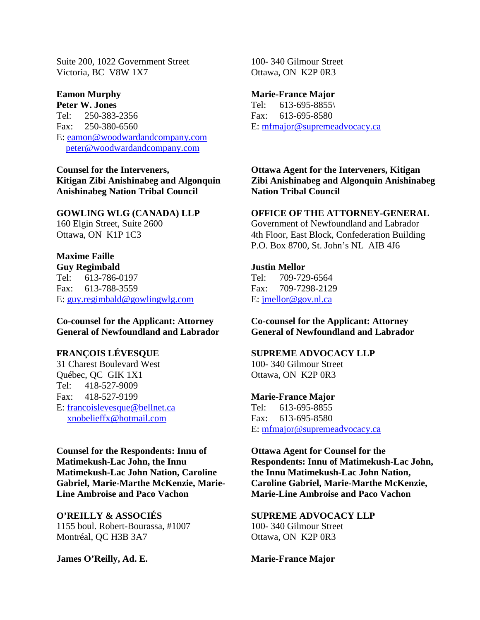Suite 200, 1022 Government Street Victoria, BC V8W 1X7

# **Eamon Murphy**

**Peter W. Jones** Tel: 250-383-2356 Fax: 250-380-6560 E: [eamon@woodwardandcompany.com](mailto:eamon@woodwardandcompany.com) [peter@woodwardandcompany.com](mailto:peter@woodwardandcompany.com)

**Counsel for the Interveners, Kitigan Zibi Anishinabeg and Algonquin Anishinabeg Nation Tribal Council** 

#### **GOWLING WLG (CANADA) LLP**

160 Elgin Street, Suite 2600 Ottawa, ON K1P 1C3

#### **Maxime Faille**

**Guy Regimbald** Tel: 613-786-0197 Fax: 613-788-3559 E: [guy.regimbald@gowlingwlg.com](mailto:guy.regimbald@gowlingwlg.com)

**Co-counsel for the Applicant: Attorney General of Newfoundland and Labrador**

#### **FRANÇOIS LÉVESQUE**

31 Charest Boulevard West Québec, QC GIK 1X1 Tel: 418-527-9009 Fax: 418-527-9199 E: [francoislevesque@bellnet.ca](mailto:francoislevesque@bellnet.ca) [xnobelieffx@hotmail.com](mailto:xnobelieffx@hotmail.com)

**Counsel for the Respondents: Innu of Matimekush-Lac John, the Innu Matimekush-Lac John Nation, Caroline Gabriel, Marie-Marthe McKenzie, Marie-Line Ambroise and Paco Vachon**

**O'REILLY & ASSOCIÉS** 1155 boul. Robert-Bourassa, #1007 Montréal, QC H3B 3A7

**James O'Reilly, Ad. E.**

100- 340 Gilmour Street Ottawa, ON K2P 0R3

#### **Marie-France Major**

Tel: 613-695-8855\ Fax: 613-695-8580 E: [mfmajor@supremeadvocacy.ca](mailto:mfmajor@supremeadvocacy.ca)

**Ottawa Agent for the Interveners, Kitigan Zibi Anishinabeg and Algonquin Anishinabeg Nation Tribal Council**

#### **OFFICE OF THE ATTORNEY-GENERAL**

Government of Newfoundland and Labrador 4th Floor, East Block, Confederation Building P.O. Box 8700, St. John's NL AIB 4J6

#### **Justin Mellor**

Tel: 709-729-6564 Fax: 709-7298-2129 E: [jmellor@gov.nl.ca](mailto:jmellor@gov.nl.ca)

**Co-counsel for the Applicant: Attorney General of Newfoundland and Labrador**

#### **SUPREME ADVOCACY LLP**

100- 340 Gilmour Street Ottawa, ON K2P 0R3

#### **Marie-France Major**

Tel: 613-695-8855 Fax: 613-695-8580 E: [mfmajor@supremeadvocacy.ca](mailto:mfmajor@supremeadvocacy.ca)

**Ottawa Agent for Counsel for the Respondents: Innu of Matimekush-Lac John, the Innu Matimekush-Lac John Nation, Caroline Gabriel, Marie-Marthe McKenzie, Marie-Line Ambroise and Paco Vachon**

**SUPREME ADVOCACY LLP** 100- 340 Gilmour Street Ottawa, ON K2P 0R3

**Marie-France Major**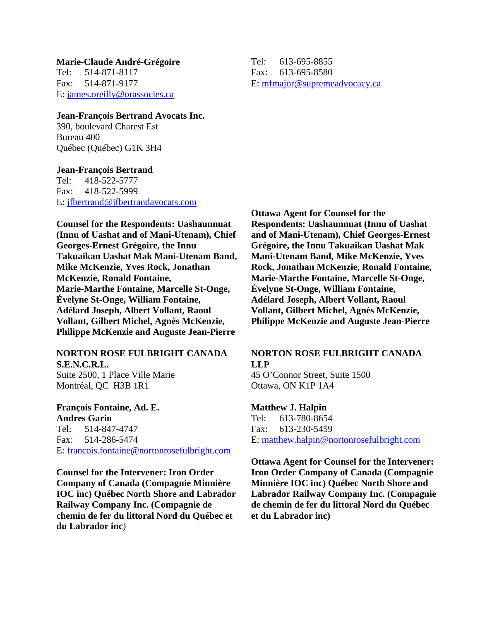**Marie-Claude André-Grégoire** Tel: 514-871-8117 Fax: 514-871-9177 E: [james.oreilly@orassocies.ca](mailto:james.oreilly@orassocies.ca)

Tel: 613-695-8855 Fax: 613-695-8580 E: [mfmajor@supremeadvocacy.ca](mailto:mfmajor@supremeadvocacy.ca)

**Jean-François Bertrand Avocats Inc.** 390, boulevard Charest Est Bureau 400 Québec (Québec) G1K 3H4

**Jean-François Bertrand** Tel: 418-522-5777 Fax: 418-522-5999 E: [jfbertrand@jfbertrandavocats.com](mailto:jfbertrand@jfbertrandavocats.com)

**Counsel for the Respondents: Uashaunnuat (Innu of Uashat and of Mani-Utenam), Chief Georges-Ernest Grégoire, the Innu Takuaikan Uashat Mak Mani-Utenam Band, Mike McKenzie, Yves Rock, Jonathan McKenzie, Ronald Fontaine, Marie-Marthe Fontaine, Marcelle St-Onge, Évelyne St-Onge, William Fontaine, Adélard Joseph, Albert Vollant, Raoul Vollant, Gilbert Michel, Agnès McKenzie, Philippe McKenzie and Auguste Jean-Pierre**

**NORTON ROSE FULBRIGHT CANADA** 

**S.E.N.C.R.L.** Suite 2500, 1 Place Ville Marie Montréal, QC H3B 1R1

**François Fontaine, Ad. E. Andres Garin** Tel: 514-847-4747 Fax: 514-286-5474 E: [francois.fontaine@nortonrosefulbright.com](mailto:francois.fontaine@nortonrosefulbright.com)

**Counsel for the Intervener: Iron Order Company of Canada (Compagnie Minnière IOC inc) Québec North Shore and Labrador Railway Company Inc. (Compagnie de chemin de fer du littoral Nord du Québec et du Labrador inc**)

**Ottawa Agent for Counsel for the Respondents: Uashaunnuat (Innu of Uashat and of Mani-Utenam), Chief Georges-Ernest Grégoire, the Innu Takuaikan Uashat Mak Mani-Utenam Band, Mike McKenzie, Yves Rock, Jonathan McKenzie, Ronald Fontaine, Marie-Marthe Fontaine, Marcelle St-Onge, Évelyne St-Onge, William Fontaine, Adélard Joseph, Albert Vollant, Raoul Vollant, Gilbert Michel, Agnès McKenzie, Philippe McKenzie and Auguste Jean-Pierre**

#### **NORTON ROSE FULBRIGHT CANADA LLP**

45 O'Connor Street, Suite 1500 Ottawa, ON K1P 1A4

#### **Matthew J. Halpin**

Tel: 613-780-8654 Fax: 613-230-5459 E: [matthew.halpin@nortonrosefulbright.com](mailto:matthew.halpin@nortonrosefulbright.com)

**Ottawa Agent for Counsel for the Intervener: Iron Order Company of Canada (Compagnie Minnière IOC inc) Québec North Shore and Labrador Railway Company Inc. (Compagnie de chemin de fer du littoral Nord du Québec et du Labrador inc)**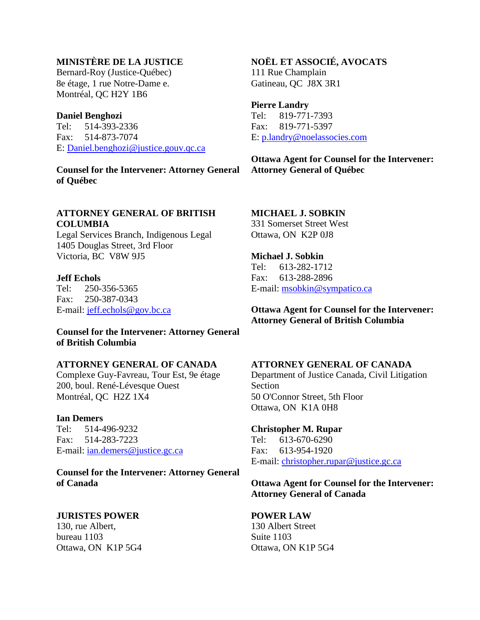# **MINISTÈRE DE LA JUSTICE**

Bernard-Roy (Justice-Québec) 8e étage, 1 rue Notre-Dame e. Montréal, QC H2Y 1B6

#### **Daniel Benghozi**

Tel: 514-393-2336 Fax: 514-873-7074 E: [Daniel.benghozi@justice.gouv.qc.ca](mailto:Daniel.benghozi@justice.gouv.qc.ca)

**Counsel for the Intervener: Attorney General of Québec**

#### **ATTORNEY GENERAL OF BRITISH COLUMBIA**

Legal Services Branch, Indigenous Legal 1405 Douglas Street, 3rd Floor Victoria, BC V8W 9J5

#### **Jeff Echols**

Tel: 250-356-5365 Fax: 250-387-0343 E-mail: [jeff.echols@gov.bc.ca](mailto:jeff.echols@gov.bc.ca)

#### **Counsel for the Intervener: Attorney General of British Columbia**

#### **ATTORNEY GENERAL OF CANADA**

Complexe Guy-Favreau, Tour Est, 9e étage 200, boul. René-Lévesque Ouest Montréal, QC H2Z 1X4

**Ian Demers** Tel: 514-496-9232 Fax: 514-283-7223 E-mail: [ian.demers@justice.gc.ca](mailto:ian.demers@justice.gc.ca)

**Counsel for the Intervener: Attorney General of Canada**

#### **JURISTES POWER**

130, rue Albert, bureau 1103 Ottawa, ON K1P 5G4

#### **NOËL ET ASSOCIÉ, AVOCATS**

111 Rue Champlain Gatineau, QC J8X 3R1

#### **Pierre Landry**

Tel: 819-771-7393 Fax: 819-771-5397 E: [p.landry@noelassocies.com](mailto:p.landry@noelassocies.com)

**Ottawa Agent for Counsel for the Intervener: Attorney General of Québec**

# **MICHAEL J. SOBKIN**

331 Somerset Street West Ottawa, ON K2P 0J8

# **Michael J. Sobkin**

Tel: 613-282-1712 Fax: 613-288-2896 E-mail: [msobkin@sympatico.ca](mailto:msobkin@sympatico.ca)

**Ottawa Agent for Counsel for the Intervener: Attorney General of British Columbia**

#### **ATTORNEY GENERAL OF CANADA**

Department of Justice Canada, Civil Litigation Section 50 O'Connor Street, 5th Floor Ottawa, ON K1A 0H8

# **Christopher M. Rupar**<br>Tel: 613-670-6290

 $613-670-6290$ Fax: 613-954-1920 E-mail: [christopher.rupar@justice.gc.ca](mailto:christopher.rupar@justice.gc.ca)

#### **Ottawa Agent for Counsel for the Intervener: Attorney General of Canada**

#### **POWER LAW**

130 Albert Street Suite 1103 Ottawa, ON K1P 5G4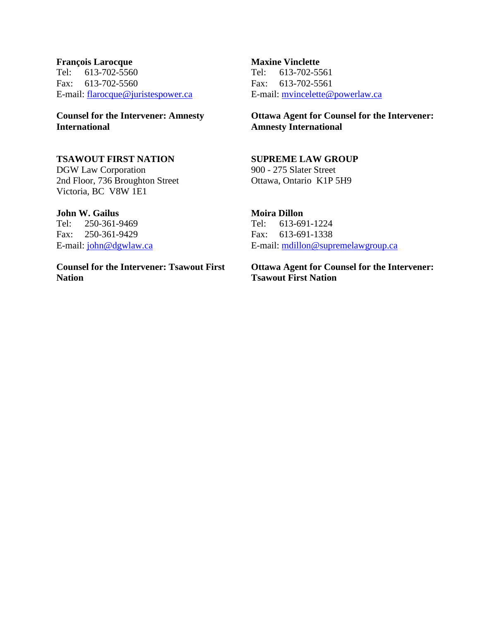#### **François Larocque** Tel: 613-702-5560 Fax: 613-702-5560 E-mail: [flarocque@juristespower.ca](mailto:flarocque@juristespower.ca)

### **Counsel for the Intervener: Amnesty International**

#### **TSAWOUT FIRST NATION**

DGW Law Corporation 2nd Floor, 736 Broughton Street Victoria, BC V8W 1E1

#### **John W. Gailus**

Tel: 250-361-9469 Fax: 250-361-9429 E-mail: [john@dgwlaw.ca](mailto:john@dgwlaw.ca)

**Counsel for the Intervener: Tsawout First Nation**

#### **Maxine Vinclette** Tel: 613-702-5561 Fax: 613-702-5561 E-mail: [mvincelette@powerlaw.ca](mailto:mvincelette@powerlaw.ca)

**Ottawa Agent for Counsel for the Intervener: Amnesty International**

# **SUPREME LAW GROUP**

900 - 275 Slater Street Ottawa, Ontario K1P 5H9

# **Moira Dillon**

Tel: 613-691-1224 Fax: 613-691-1338 E-mail: [mdillon@supremelawgroup.ca](mailto:mdillon@supremelawgroup.ca)

**Ottawa Agent for Counsel for the Intervener: Tsawout First Nation**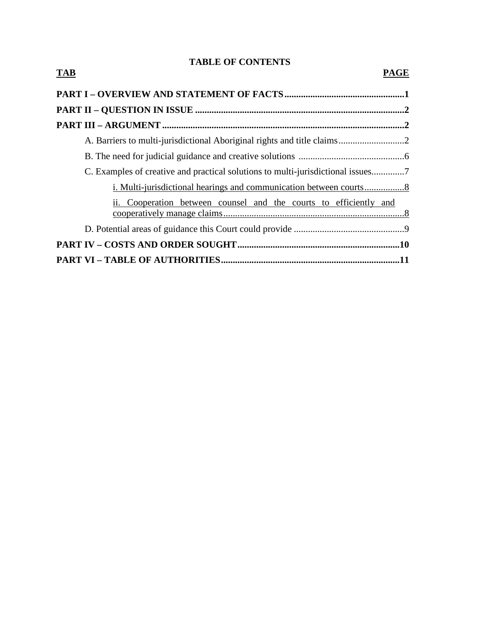# **TABLE OF CONTENTS**

| <b>TAB</b>                                                                     | <b>PAGE</b> |
|--------------------------------------------------------------------------------|-------------|
|                                                                                |             |
|                                                                                |             |
|                                                                                |             |
| A. Barriers to multi-jurisdictional Aboriginal rights and title claims2        |             |
|                                                                                |             |
| C. Examples of creative and practical solutions to multi-jurisdictional issues |             |
|                                                                                |             |
| ii. Cooperation between counsel and the courts to efficiently and              |             |
|                                                                                |             |
|                                                                                |             |
|                                                                                |             |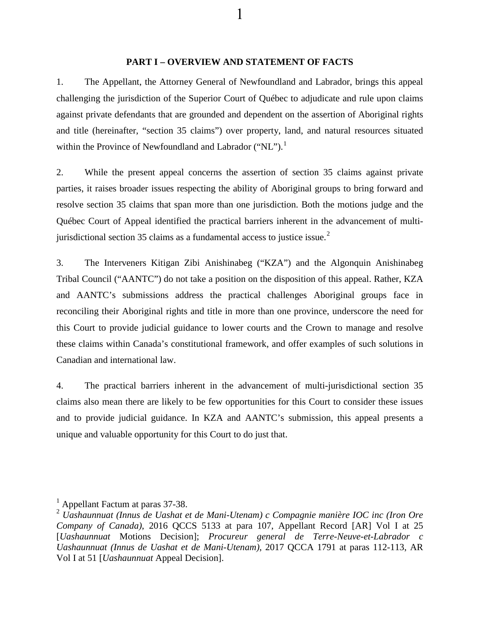#### **PART I – OVERVIEW AND STATEMENT OF FACTS**

1

1. The Appellant, the Attorney General of Newfoundland and Labrador, brings this appeal challenging the jurisdiction of the Superior Court of Québec to adjudicate and rule upon claims against private defendants that are grounded and dependent on the assertion of Aboriginal rights and title (hereinafter, "section 35 claims") over property, land, and natural resources situated within the Province of Newfoundland and Labrador ("NL").<sup>[1](#page-6-0)</sup>

<span id="page-6-2"></span>2. While the present appeal concerns the assertion of section 35 claims against private parties, it raises broader issues respecting the ability of Aboriginal groups to bring forward and resolve section 35 claims that span more than one jurisdiction. Both the motions judge and the Québec Court of Appeal identified the practical barriers inherent in the advancement of multi-jurisdictional section 35 claims as a fundamental access to justice issue.<sup>[2](#page-6-1)</sup>

3. The Interveners Kitigan Zibi Anishinabeg ("KZA") and the Algonquin Anishinabeg Tribal Council ("AANTC") do not take a position on the disposition of this appeal. Rather, KZA and AANTC's submissions address the practical challenges Aboriginal groups face in reconciling their Aboriginal rights and title in more than one province, underscore the need for this Court to provide judicial guidance to lower courts and the Crown to manage and resolve these claims within Canada's constitutional framework, and offer examples of such solutions in Canadian and international law.

4. The practical barriers inherent in the advancement of multi-jurisdictional section 35 claims also mean there are likely to be few opportunities for this Court to consider these issues and to provide judicial guidance. In KZA and AANTC's submission, this appeal presents a unique and valuable opportunity for this Court to do just that.

<sup>&</sup>lt;sup>1</sup> Appellant Factum at paras 37-38.

<span id="page-6-1"></span><span id="page-6-0"></span><sup>2</sup> *Uashaunnuat (Innus de Uashat et de Mani-Utenam) c Compagnie manière IOC inc (Iron Ore Company of Canada)*, 2016 QCCS 5133 at para 107, Appellant Record [AR] Vol I at 25 [*Uashaunnuat* Motions Decision]; *Procureur general de Terre-Neuve-et-Labrador c Uashaunnuat (Innus de Uashat et de Mani-Utenam)*, 2017 QCCA 1791 at paras 112-113, AR Vol I at 51 [*Uashaunnuat* Appeal Decision].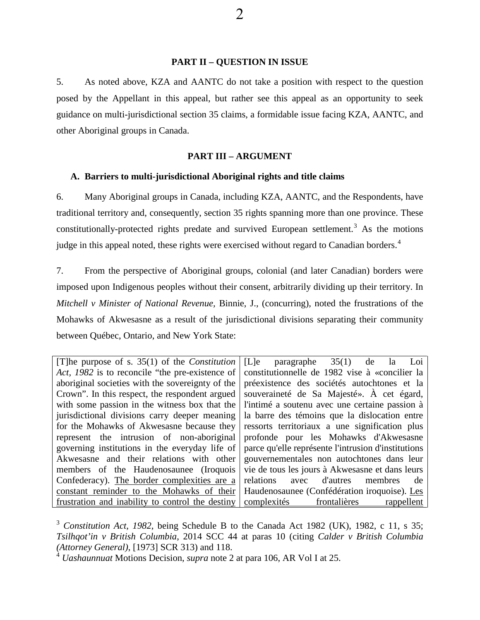#### **PART II – QUESTION IN ISSUE**

5. As noted above, KZA and AANTC do not take a position with respect to the question posed by the Appellant in this appeal, but rather see this appeal as an opportunity to seek guidance on multi-jurisdictional section 35 claims, a formidable issue facing KZA, AANTC, and other Aboriginal groups in Canada.

#### **PART III – ARGUMENT**

#### **A. Barriers to multi-jurisdictional Aboriginal rights and title claims**

<span id="page-7-2"></span>6. Many Aboriginal groups in Canada, including KZA, AANTC, and the Respondents, have traditional territory and, consequently, section 35 rights spanning more than one province. These constitutionally-protected rights predate and survived European settlement.<sup>[3](#page-7-0)</sup> As the motions judge in this appeal noted, these rights were exercised without regard to Canadian borders.<sup>[4](#page-7-1)</sup>

<span id="page-7-3"></span>7. From the perspective of Aboriginal groups, colonial (and later Canadian) borders were imposed upon Indigenous peoples without their consent, arbitrarily dividing up their territory. In *Mitchell v Minister of National Revenue,* Binnie, J., (concurring), noted the frustrations of the Mohawks of Akwesasne as a result of the jurisdictional divisions separating their community between Québec, Ontario, and New York State:

| [T] he purpose of s. $35(1)$ of the <i>Constitution</i> | [L]e<br>paragraphe $35(1)$<br>de<br>Loi<br>la.      |
|---------------------------------------------------------|-----------------------------------------------------|
| Act, 1982 is to reconcile "the pre-existence of         | constitutionnelle de 1982 vise à «concilier la      |
| aboriginal societies with the sovereignty of the        | préexistence des sociétés autochtones et la         |
| Crown". In this respect, the respondent argued          | souveraineté de Sa Majesté». À cet égard,           |
| with some passion in the witness box that the           | l'intimé a soutenu avec une certaine passion à      |
| jurisdictional divisions carry deeper meaning           | la barre des témoins que la dislocation entre       |
| for the Mohawks of Akwesasne because they               | ressorts territoriaux a une signification plus      |
| represent the intrusion of non-aboriginal               | profonde pour les Mohawks d'Akwesasne               |
| governing institutions in the everyday life of          | parce qu'elle représente l'intrusion d'institutions |
| Akwesasne and their relations with other                | gouvernementales non autochtones dans leur          |
| members of the Haudenosaunee (Iroquois                  | vie de tous les jours à Akwesasne et dans leurs     |
| Confederacy). The border complexities are a             | avec d'autres<br>relations<br>membres<br>de         |
| constant reminder to the Mohawks of their               | Haudenosaunee (Confédération iroquoise). Les        |
| frustration and inability to control the destiny        | frontalières<br>complexités<br>rappellent           |

<span id="page-7-0"></span><sup>&</sup>lt;sup>3</sup> *Constitution Act, 1982*, being Schedule B to the Canada Act 1982 (UK), 1982, c 11, s 35; *Tsilhqot'in v British Columbia*, 2014 SCC 44 at paras 10 (citing *Calder v British Columbia (Attorney General)*, [1973] SCR 313) and 118.

<span id="page-7-1"></span><sup>4</sup> *Uashaunnuat* Motions Decision, *supra* note 2 at para 106, AR Vol I at 25.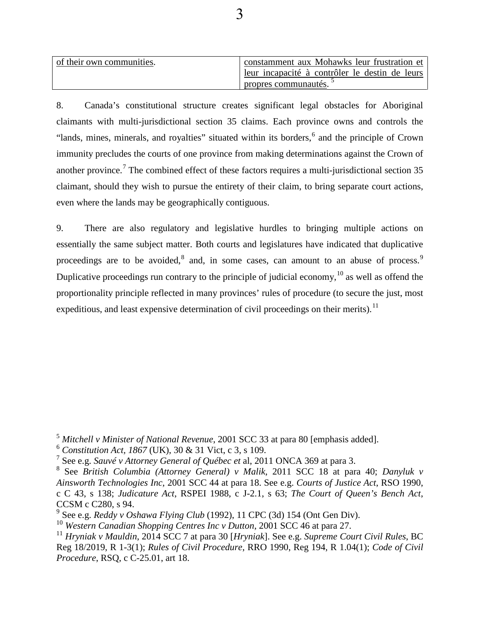| of their own communities. | constamment aux Mohawks leur frustration et    |
|---------------------------|------------------------------------------------|
|                           | leur incapacité à contrôler le destin de leurs |
|                           | propres communautés.                           |

<span id="page-8-8"></span>8. Canada's constitutional structure creates significant legal obstacles for Aboriginal claimants with multi-jurisdictional section 35 claims. Each province owns and controls the "lands, mines, minerals, and royalties" situated within its borders, <sup>[6](#page-8-1)</sup> and the principle of Crown immunity precludes the courts of one province from making determinations against the Crown of another province.<sup>[7](#page-8-2)</sup> The combined effect of these factors requires a multi-jurisdictional section  $35$ claimant, should they wish to pursue the entirety of their claim, to bring separate court actions, even where the lands may be geographically contiguous.

<span id="page-8-7"></span>9. There are also regulatory and legislative hurdles to bringing multiple actions on essentially the same subject matter. Both courts and legislatures have indicated that duplicative proceedings are to be avoided, $^8$  $^8$  and, in some cases, can amount to an abuse of process. Duplicative proceedings run contrary to the principle of judicial economy,<sup>[10](#page-8-5)</sup> as well as offend the proportionality principle reflected in many provinces' rules of procedure (to secure the just, most expeditious, and least expensive determination of civil proceedings on their merits).<sup>[11](#page-8-6)</sup>

<span id="page-8-0"></span><sup>5</sup> *Mitchell v Minister of National Revenue*, 2001 SCC 33 at para 80 [emphasis added].

<span id="page-8-1"></span><sup>6</sup> *Constitution Act, 1867* (UK), 30 & 31 Vict, c 3, s 109.

<span id="page-8-2"></span><sup>7</sup> See e.g. *Sauvé v Attorney General of Québec et* al, 2011 ONCA 369 at para 3.

<span id="page-8-3"></span><sup>8</sup> See *British Columbia (Attorney General) v Malik*, 2011 SCC 18 at para 40; *Danyluk v Ainsworth Technologies Inc*, 2001 SCC 44 at para 18. See e.g. *Courts of Justice Act*, RSO 1990, c C 43, s 138; *Judicature Act*, RSPEI 1988, c J-2.1, s 63; *The Court of Queen's Bench Act*, CCSM c C280, s 94.

<span id="page-8-4"></span><sup>9</sup> See e.g. *Reddy v Oshawa Flying Club* (1992), 11 CPC (3d) 154 (Ont Gen Div).

<span id="page-8-5"></span><sup>10</sup> *Western Canadian Shopping Centres Inc v Dutton*, 2001 SCC 46 at para 27.

<span id="page-8-6"></span><sup>11</sup> *Hryniak v Mauldin*, 2014 SCC 7 at para 30 [*Hryniak*]. See e.g. *Supreme Court Civil Rules*, BC Reg 18/2019, R 1-3(1); *Rules of Civil Procedure*, RRO 1990, Reg 194, R 1.04(1); *Code of Civil Procedure*, RSQ, c C-25.01, art 18.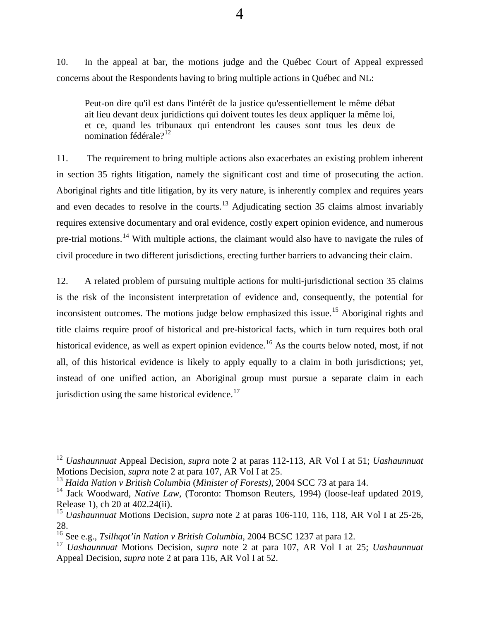<span id="page-9-7"></span>10. In the appeal at bar, the motions judge and the Québec Court of Appeal expressed concerns about the Respondents having to bring multiple actions in Québec and NL:

Peut-on dire qu'il est dans l'intérêt de la justice qu'essentiellement le même débat ait lieu devant deux juridictions qui doivent toutes les deux appliquer la même loi, et ce, quand les tribunaux qui entendront les causes sont tous les deux de nomination fédérale? $12$ 

<span id="page-9-6"></span>11. The requirement to bring multiple actions also exacerbates an existing problem inherent in section 35 rights litigation, namely the significant cost and time of prosecuting the action. Aboriginal rights and title litigation, by its very nature, is inherently complex and requires years and even decades to resolve in the courts.<sup>[13](#page-9-1)</sup> Adjudicating section 35 claims almost invariably requires extensive documentary and oral evidence, costly expert opinion evidence, and numerous pre-trial motions.<sup>[14](#page-9-2)</sup> With multiple actions, the claimant would also have to navigate the rules of civil procedure in two different jurisdictions, erecting further barriers to advancing their claim.

<span id="page-9-8"></span>12. A related problem of pursuing multiple actions for multi-jurisdictional section 35 claims is the risk of the inconsistent interpretation of evidence and, consequently, the potential for inconsistent outcomes. The motions judge below emphasized this issue.<sup>[15](#page-9-3)</sup> Aboriginal rights and title claims require proof of historical and pre-historical facts, which in turn requires both oral historical evidence, as well as expert opinion evidence.<sup>[16](#page-9-4)</sup> As the courts below noted, most, if not all, of this historical evidence is likely to apply equally to a claim in both jurisdictions; yet, instead of one unified action, an Aboriginal group must pursue a separate claim in each jurisdiction using the same historical evidence.<sup>[17](#page-9-5)</sup>

<span id="page-9-0"></span><sup>12</sup> *Uashaunnuat* Appeal Decision, *supra* note 2 at paras 112-113, AR Vol I at 51; *Uashaunnuat*  Motions Decision, *supra* note 2 at para 107, AR Vol I at 25.

<span id="page-9-1"></span><sup>13</sup> *Haida Nation v British Columbia* (*Minister of Forests)*, 2004 SCC 73 at para 14.

<span id="page-9-2"></span><sup>&</sup>lt;sup>14</sup> Jack Woodward, *Native Law*, (Toronto: Thomson Reuters, 1994) (loose-leaf updated 2019, Release 1), ch 20 at 402.24(ii).

<span id="page-9-3"></span><sup>15</sup> *Uashaunnuat* Motions Decision, *supra* note 2 at paras 106-110, 116, 118, AR Vol I at 25-26, 28.

<span id="page-9-4"></span><sup>16</sup> See e.g., *Tsilhqot'in Nation v British Columbia*, 2004 BCSC 1237 at para 12.

<span id="page-9-5"></span><sup>17</sup> *Uashaunnuat* Motions Decision*, supra* note 2 at para 107, AR Vol I at 25; *Uashaunnuat*  Appeal Decision, *supra* note 2 at para 116, AR Vol I at 52.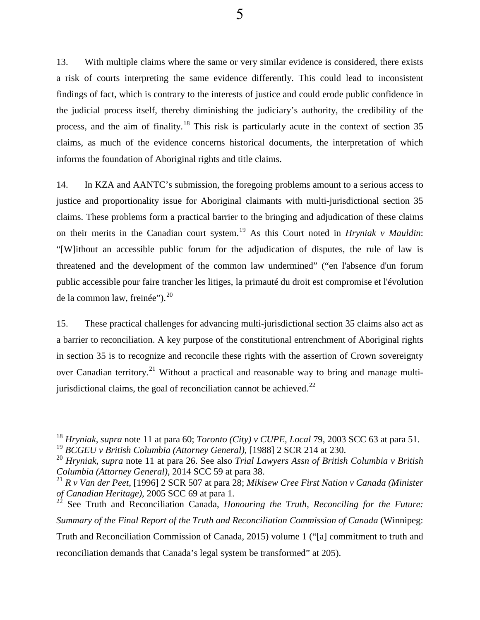<span id="page-10-6"></span>13. With multiple claims where the same or very similar evidence is considered, there exists a risk of courts interpreting the same evidence differently. This could lead to inconsistent findings of fact, which is contrary to the interests of justice and could erode public confidence in the judicial process itself, thereby diminishing the judiciary's authority, the credibility of the process, and the aim of finality.<sup>[18](#page-10-0)</sup> This risk is particularly acute in the context of section 35 claims, as much of the evidence concerns historical documents, the interpretation of which informs the foundation of Aboriginal rights and title claims.

<span id="page-10-5"></span>14. In KZA and AANTC's submission, the foregoing problems amount to a serious access to justice and proportionality issue for Aboriginal claimants with multi-jurisdictional section 35 claims. These problems form a practical barrier to the bringing and adjudication of these claims on their merits in the Canadian court system. [19](#page-10-1) As this Court noted in *Hryniak v Mauldin*: "[W]ithout an accessible public forum for the adjudication of disputes, the rule of law is threatened and the development of the common law undermined" ("en l'absence d'un forum public accessible pour faire trancher les litiges, la primauté du droit est compromise et l'évolution de la common law, freinée"). $^{20}$  $^{20}$  $^{20}$ 

<span id="page-10-7"></span>15. These practical challenges for advancing multi-jurisdictional section 35 claims also act as a barrier to reconciliation. A key purpose of the constitutional entrenchment of Aboriginal rights in section 35 is to recognize and reconcile these rights with the assertion of Crown sovereignty over Canadian territory.<sup>[21](#page-10-3)</sup> Without a practical and reasonable way to bring and manage multijurisdictional claims, the goal of reconciliation cannot be achieved. $^{22}$ 

<span id="page-10-0"></span><sup>&</sup>lt;sup>18</sup> *Hryniak*, *supra* note 11 at para 60; *Toronto (City) v CUPE, Local* 79, 2003 SCC 63 at para 51. <sup>19</sup> *BCGEU v British Columbia (Attorney General),* [1988] 2 SCR 214 at 230.

<span id="page-10-2"></span><span id="page-10-1"></span><sup>20</sup> *Hryniak*, *supra* note 11 at para 26. See also *Trial Lawyers Assn of British Columbia v British Columbia (Attorney General)*, 2014 SCC 59 at para 38.

<span id="page-10-3"></span><sup>21</sup> *R v Van der Peet*, [1996] 2 SCR 507 at para 28; *Mikisew Cree First Nation v Canada (Minister of Canadian Heritage)*, 2005 SCC 69 at para 1.

<span id="page-10-4"></span><sup>22</sup> See Truth and Reconciliation Canada, *Honouring the Truth, Reconciling for the Future: Summary of the Final Report of the Truth and Reconciliation Commission of Canada* (Winnipeg: Truth and Reconciliation Commission of Canada, 2015) volume 1 ("[a] commitment to truth and reconciliation demands that Canada's legal system be transformed" at 205).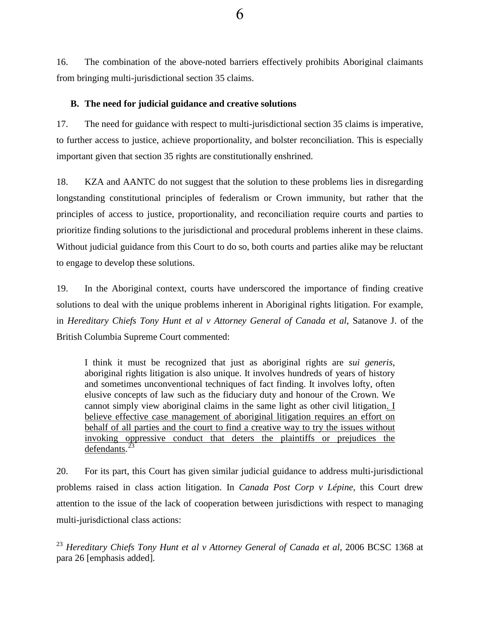16. The combination of the above-noted barriers effectively prohibits Aboriginal claimants from bringing multi-jurisdictional section 35 claims.

#### **B. The need for judicial guidance and creative solutions**

17. The need for guidance with respect to multi-jurisdictional section 35 claims is imperative, to further access to justice, achieve proportionality, and bolster reconciliation. This is especially important given that section 35 rights are constitutionally enshrined.

18. KZA and AANTC do not suggest that the solution to these problems lies in disregarding longstanding constitutional principles of federalism or Crown immunity, but rather that the principles of access to justice, proportionality, and reconciliation require courts and parties to prioritize finding solutions to the jurisdictional and procedural problems inherent in these claims. Without judicial guidance from this Court to do so, both courts and parties alike may be reluctant to engage to develop these solutions.

<span id="page-11-1"></span>19. In the Aboriginal context, courts have underscored the importance of finding creative solutions to deal with the unique problems inherent in Aboriginal rights litigation. For example, in *Hereditary Chiefs Tony Hunt et al v Attorney General of Canada et al*, Satanove J. of the British Columbia Supreme Court commented:

I think it must be recognized that just as aboriginal rights are *sui generis*, aboriginal rights litigation is also unique. It involves hundreds of years of history and sometimes unconventional techniques of fact finding. It involves lofty, often elusive concepts of law such as the fiduciary duty and honour of the Crown. We cannot simply view aboriginal claims in the same light as other civil litigation. I believe effective case management of aboriginal litigation requires an effort on behalf of all parties and the court to find a creative way to try the issues without invoking oppressive conduct that deters the plaintiffs or prejudices the defendants. $^{23}$  $^{23}$  $^{23}$ 

<span id="page-11-2"></span>20. For its part, this Court has given similar judicial guidance to address multi-jurisdictional problems raised in class action litigation. In *Canada Post Corp v Lépine*, this Court drew attention to the issue of the lack of cooperation between jurisdictions with respect to managing multi-jurisdictional class actions:

<span id="page-11-0"></span><sup>23</sup> Hereditary Chiefs Tony Hunt et al v Attorney General of Canada et al, 2006 BCSC 1368 at para 26 [emphasis added]*.*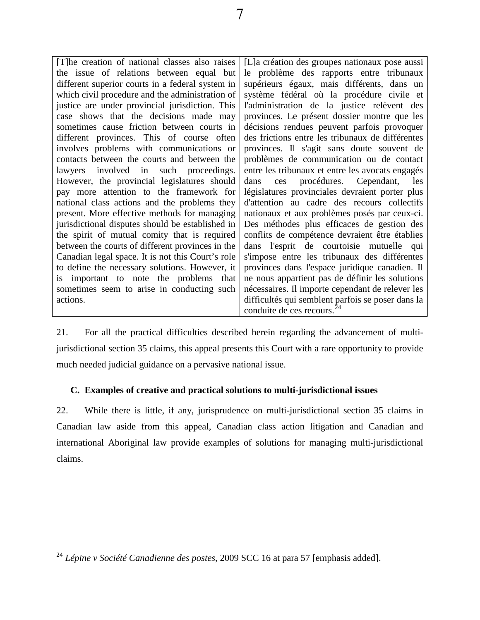| [T]he creation of national classes also raises    | [L] a création des groupes nationaux pose aussi   |
|---------------------------------------------------|---------------------------------------------------|
| the issue of relations between equal but          | le problème des rapports entre tribunaux          |
| different superior courts in a federal system in  | supérieurs égaux, mais différents, dans un        |
| which civil procedure and the administration of   | système fédéral où la procédure civile et         |
| justice are under provincial jurisdiction. This   | l'administration de la justice relèvent des       |
| case shows that the decisions made may            | provinces. Le présent dossier montre que les      |
| sometimes cause friction between courts in        | décisions rendues peuvent parfois provoquer       |
| different provinces. This of course often         | des frictions entre les tribunaux de différentes  |
| involves problems with communications or          | provinces. Il s'agit sans doute souvent de        |
| contacts between the courts and between the       | problèmes de communication ou de contact          |
| lawyers involved in such proceedings.             | entre les tribunaux et entre les avocats engagés  |
| However, the provincial legislatures should       | procédures. Cependant, les<br>dans<br>ces         |
| pay more attention to the framework for           | législatures provinciales devraient porter plus   |
| national class actions and the problems they      | d'attention au cadre des recours collectifs       |
| present. More effective methods for managing      | nationaux et aux problèmes posés par ceux-ci.     |
| jurisdictional disputes should be established in  | Des méthodes plus efficaces de gestion des        |
| the spirit of mutual comity that is required      | conflits de compétence devraient être établies    |
| between the courts of different provinces in the  | dans l'esprit de courtoisie mutuelle qui          |
| Canadian legal space. It is not this Court's role | s'impose entre les tribunaux des différentes      |
| to define the necessary solutions. However, it    | provinces dans l'espace juridique canadien. Il    |
| is important to note the problems that            | ne nous appartient pas de définir les solutions   |
| sometimes seem to arise in conducting such        | nécessaires. Il importe cependant de relever les  |
| actions.                                          | difficultés qui semblent parfois se poser dans la |
|                                                   | conduite de ces recours. <sup>24</sup>            |

21. For all the practical difficulties described herein regarding the advancement of multijurisdictional section 35 claims, this appeal presents this Court with a rare opportunity to provide much needed judicial guidance on a pervasive national issue.

# **C. Examples of creative and practical solutions to multi-jurisdictional issues**

22. While there is little, if any, jurisprudence on multi-jurisdictional section 35 claims in Canadian law aside from this appeal, Canadian class action litigation and Canadian and international Aboriginal law provide examples of solutions for managing multi-jurisdictional claims.

<span id="page-12-0"></span><sup>24</sup> *Lépine v Société Canadienne des postes*, 2009 SCC 16 at para 57 [emphasis added].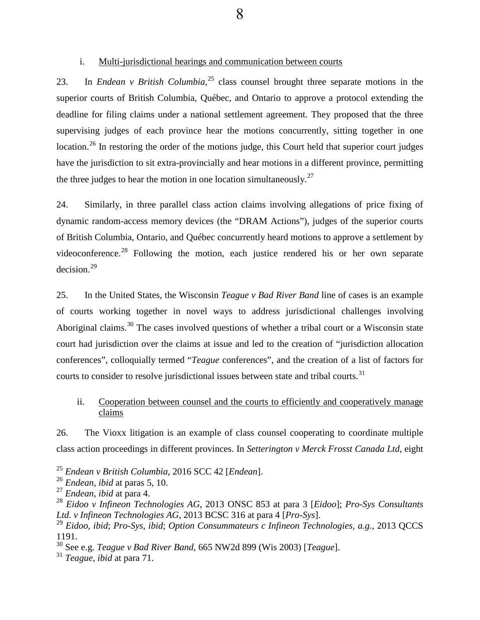#### i. Multi-jurisdictional hearings and communication between courts

<span id="page-13-8"></span>23. In *Endean v British Columbia*, [25](#page-13-0) class counsel brought three separate motions in the superior courts of British Columbia, Québec, and Ontario to approve a protocol extending the deadline for filing claims under a national settlement agreement. They proposed that the three supervising judges of each province hear the motions concurrently, sitting together in one location.<sup>[26](#page-13-1)</sup> In restoring the order of the motions judge, this Court held that superior court judges have the jurisdiction to sit extra-provincially and hear motions in a different province, permitting the three judges to hear the motion in one location simultaneously.<sup>[27](#page-13-2)</sup>

<span id="page-13-7"></span>24. Similarly, in three parallel class action claims involving allegations of price fixing of dynamic random-access memory devices (the "DRAM Actions"), judges of the superior courts of British Columbia, Ontario, and Québec concurrently heard motions to approve a settlement by videoconference.<sup>[28](#page-13-3)</sup> Following the motion, each justice rendered his or her own separate decision.[29](#page-13-4)

<span id="page-13-10"></span>25. In the United States, the Wisconsin *Teague v Bad River Band* line of cases is an example of courts working together in novel ways to address jurisdictional challenges involving Aboriginal claims.<sup>[30](#page-13-5)</sup> The cases involved questions of whether a tribal court or a Wisconsin state court had jurisdiction over the claims at issue and led to the creation of "jurisdiction allocation conferences", colloquially termed "*Teague* conferences", and the creation of a list of factors for courts to consider to resolve jurisdictional issues between state and tribal courts.<sup>[31](#page-13-6)</sup>

## ii. Cooperation between counsel and the courts to efficiently and cooperatively manage claims

<span id="page-13-9"></span>26. The Vioxx litigation is an example of class counsel cooperating to coordinate multiple class action proceedings in different provinces. In *Setterington v Merck Frosst Canada Ltd*, eight

<span id="page-13-0"></span><sup>25</sup> *Endean v British Columbia*, 2016 SCC 42 [*Endean*].

<span id="page-13-1"></span><sup>26</sup> *Endean*, *ibid* at paras 5, 10.

<span id="page-13-2"></span><sup>27</sup> *Endean*, *ibid* at para 4.

<span id="page-13-3"></span><sup>28</sup> *Eidoo v Infineon Technologies AG*, 2013 ONSC 853 at para 3 [*Eidoo*]; *Pro-Sys Consultants Ltd. v Infineon Technologies AG*, 2013 BCSC 316 at para 4 [*Pro-Sys*].

<span id="page-13-4"></span><sup>29</sup> *Eidoo*, *ibid*; *Pro-Sys*, *ibid*; *Option Consummateurs c Infineon Technologies, a.g.*, 2013 QCCS 1191.

<span id="page-13-5"></span><sup>30</sup> See e.g. *Teague v Bad River Band*, 665 NW2d 899 (Wis 2003) [*Teague*].

<span id="page-13-6"></span><sup>31</sup> *Teague*, *ibid* at para 71.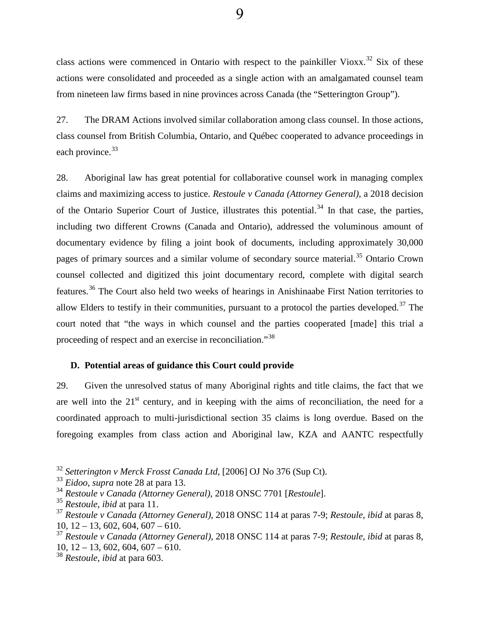class actions were commenced in Ontario with respect to the painkiller Vioxx.<sup>[32](#page-14-0)</sup> Six of these actions were consolidated and proceeded as a single action with an amalgamated counsel team from nineteen law firms based in nine provinces across Canada (the "Setterington Group").

<span id="page-14-6"></span>27. The DRAM Actions involved similar collaboration among class counsel. In those actions, class counsel from British Columbia, Ontario, and Québec cooperated to advance proceedings in each province.<sup>[33](#page-14-1)</sup>

<span id="page-14-7"></span>28. Aboriginal law has great potential for collaborative counsel work in managing complex claims and maximizing access to justice. *Restoule v Canada (Attorney General)*, a 2018 decision of the Ontario Superior Court of Justice, illustrates this potential.<sup>[34](#page-14-2)</sup> In that case, the parties, including two different Crowns (Canada and Ontario), addressed the voluminous amount of documentary evidence by filing a joint book of documents, including approximately 30,000 pages of primary sources and a similar volume of secondary source material.<sup>[35](#page-14-3)</sup> Ontario Crown counsel collected and digitized this joint documentary record, complete with digital search features.[36](#page-14-3) The Court also held two weeks of hearings in Anishinaabe First Nation territories to allow Elders to testify in their communities, pursuant to a protocol the parties developed.<sup>[37](#page-14-4)</sup> The court noted that "the ways in which counsel and the parties cooperated [made] this trial a proceeding of respect and an exercise in reconciliation."[38](#page-14-5) 

### **D. Potential areas of guidance this Court could provide**

29. Given the unresolved status of many Aboriginal rights and title claims, the fact that we are well into the  $21<sup>st</sup>$  century, and in keeping with the aims of reconciliation, the need for a coordinated approach to multi-jurisdictional section 35 claims is long overdue. Based on the foregoing examples from class action and Aboriginal law, KZA and AANTC respectfully

<span id="page-14-0"></span><sup>32</sup> *Setterington v Merck Frosst Canada Ltd*, [2006] OJ No 376 (Sup Ct).

<span id="page-14-1"></span><sup>33</sup> *Eidoo*, *supra* note 28 at para 13.

<span id="page-14-2"></span><sup>34</sup> *Restoule v Canada (Attorney General)*, 2018 ONSC 7701 [*Restoule*].

<span id="page-14-3"></span><sup>35</sup> *Restoule*, *ibid* at para 11.

<sup>37</sup> *Restoule v Canada (Attorney General)*, 2018 ONSC 114 at paras 7-9; *Restoule*, *ibid* at paras 8, 10,  $12 - 13$ , 602, 604, 607 – 610.

<span id="page-14-4"></span><sup>37</sup> *Restoule v Canada (Attorney General)*, 2018 ONSC 114 at paras 7-9; *Restoule*, *ibid* at paras 8,  $10, 12 - 13, 602, 604, 607 - 610.$ 

<span id="page-14-5"></span><sup>38</sup> *Restoule*, *ibid* at para 603.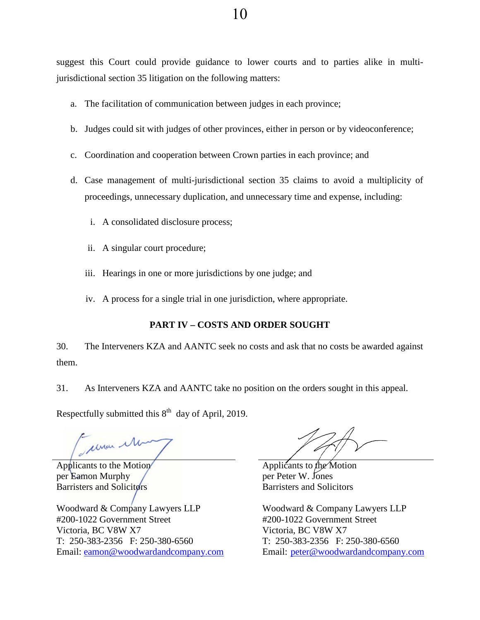suggest this Court could provide guidance to lower courts and to parties alike in multijurisdictional section 35 litigation on the following matters:

- a. The facilitation of communication between judges in each province;
- b. Judges could sit with judges of other provinces, either in person or by videoconference;
- c. Coordination and cooperation between Crown parties in each province; and
- d. Case management of multi-jurisdictional section 35 claims to avoid a multiplicity of proceedings, unnecessary duplication, and unnecessary time and expense, including:
	- i. A consolidated disclosure process;
	- ii. A singular court procedure;
	- iii. Hearings in one or more jurisdictions by one judge; and
	- iv. A process for a single trial in one jurisdiction, where appropriate.

# **PART IV – COSTS AND ORDER SOUGHT**

30. The Interveners KZA and AANTC seek no costs and ask that no costs be awarded against them.

31. As Interveners KZA and AANTC take no position on the orders sought in this appeal.

Respectfully submitted this  $8<sup>th</sup>$  day of April, 2019.

elman 1

Applicants to the Motion per Eamon Murphy Barristers and Solicitors

Woodward & Company Lawyers LLP #200-1022 Government Street Victoria, BC V8W X7 T: 250-383-2356 F: 250-380-6560 Email: [eamon@woodwardandcompany.com](mailto:eamon@woodwardandcompany.com)

Applicants to the Motion per Peter W. Jones Barristers and Solicitors

Woodward & Company Lawyers LLP #200-1022 Government Street Victoria, BC V8W X7 T: 250-383-2356 F: 250-380-6560 Email: [peter@woodwardandcompany.com](mailto:peter@woodwardandcompany.com)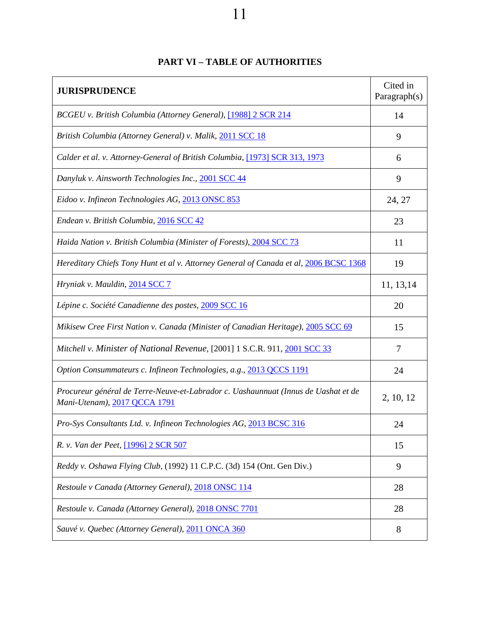# 11

| <b>JURISPRUDENCE</b>                                                                                               | Cited in<br>Paragraph $(s)$ |
|--------------------------------------------------------------------------------------------------------------------|-----------------------------|
| BCGEU v. British Columbia (Attorney General), [1988] 2 SCR 214                                                     | 14                          |
| British Columbia (Attorney General) v. Malik, 2011 SCC 18                                                          | 9                           |
| Calder et al. v. Attorney-General of British Columbia, [1973] SCR 313, 1973                                        | 6                           |
| Danyluk v. Ainsworth Technologies Inc., 2001 SCC 44                                                                | 9                           |
| Eidoo v. Infineon Technologies AG, 2013 ONSC 853                                                                   | 24, 27                      |
| Endean v. British Columbia, 2016 SCC 42                                                                            | 23                          |
| Haida Nation v. British Columbia (Minister of Forests), 2004 SCC 73                                                | 11                          |
| Hereditary Chiefs Tony Hunt et al v. Attorney General of Canada et al, 2006 BCSC 1368                              | 19                          |
| Hryniak v. Mauldin, 2014 SCC 7                                                                                     | 11, 13, 14                  |
| Lépine c. Société Canadienne des postes, 2009 SCC 16                                                               | 20                          |
| Mikisew Cree First Nation v. Canada (Minister of Canadian Heritage), 2005 SCC 69                                   | 15                          |
| Mitchell v. Minister of National Revenue, [2001] 1 S.C.R. 911, 2001 SCC 33                                         | 7                           |
| Option Consummateurs c. Infineon Technologies, a.g., 2013 QCCS 1191                                                | 24                          |
| Procureur général de Terre-Neuve-et-Labrador c. Uashaunnuat (Innus de Uashat et de<br>Mani-Utenam), 2017 QCCA 1791 | 2, 10, 12                   |
| Pro-Sys Consultants Ltd. v. Infineon Technologies AG, 2013 BCSC 316                                                | 24                          |
| R. v. Van der Peet, [1996] 2 SCR 507                                                                               | 15                          |
| Reddy v. Oshawa Flying Club, (1992) 11 C.P.C. (3d) 154 (Ont. Gen Div.)                                             | 9                           |
| Restoule v Canada (Attorney General), 2018 ONSC 114                                                                | 28                          |
| Restoule v. Canada (Attorney General), 2018 ONSC 7701                                                              | 28                          |
| Sauvé v. Quebec (Attorney General), 2011 ONCA 360                                                                  | 8                           |

# **PART VI – TABLE OF AUTHORITIES**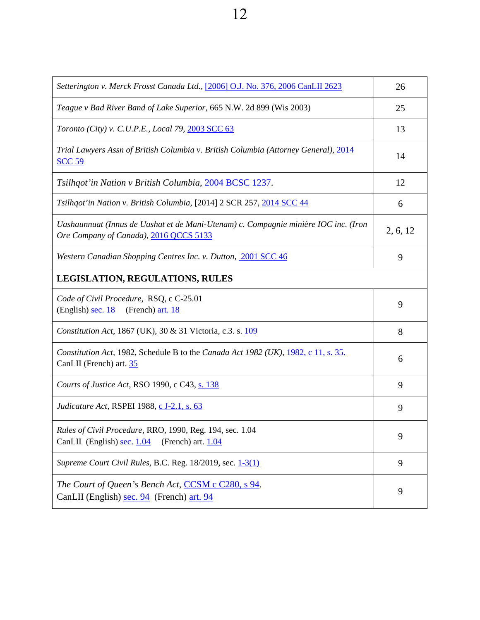12

| Setterington v. Merck Frosst Canada Ltd., [2006] O.J. No. 376, 2006 CanLII 2623                                               | 26       |  |
|-------------------------------------------------------------------------------------------------------------------------------|----------|--|
| Teague v Bad River Band of Lake Superior, 665 N.W. 2d 899 (Wis 2003)                                                          | 25       |  |
| Toronto (City) v. C.U.P.E., Local 79, 2003 SCC 63                                                                             | 13       |  |
| Trial Lawyers Assn of British Columbia v. British Columbia (Attorney General), 2014<br><b>SCC 59</b>                          | 14       |  |
| Tsilhqot'in Nation v British Columbia, 2004 BCSC 1237.                                                                        | 12       |  |
| Tsilhqot'in Nation v. British Columbia, [2014] 2 SCR 257, 2014 SCC 44                                                         | 6        |  |
| Uashaunnuat (Innus de Uashat et de Mani-Utenam) c. Compagnie minière IOC inc. (Iron<br>Ore Company of Canada), 2016 QCCS 5133 | 2, 6, 12 |  |
| Western Canadian Shopping Centres Inc. v. Dutton, 2001 SCC 46                                                                 | 9        |  |
| <b>LEGISLATION, REGULATIONS, RULES</b>                                                                                        |          |  |
| Code of Civil Procedure, RSQ, c C-25.01<br>(English) sec. 18<br>(French) art. 18                                              | 9        |  |
| Constitution Act, 1867 (UK), 30 & 31 Victoria, c.3. s. 109                                                                    | 8        |  |
| Constitution Act, 1982, Schedule B to the Canada Act 1982 (UK), 1982, c 11, s. 35.<br>CanLII (French) art. 35                 | 6        |  |
| Courts of Justice Act, RSO 1990, c C43, s. 138                                                                                | 9        |  |
| <i>Judicature Act, RSPEI 1988, c J-2.1, s. 63</i>                                                                             | 9        |  |
| Rules of Civil Procedure, RRO, 1990, Reg. 194, sec. 1.04<br>CanLII (English) sec. 1.04<br>(French) art. 1.04                  | 9        |  |
| Supreme Court Civil Rules, B.C. Reg. 18/2019, sec. 1-3(1)                                                                     | 9        |  |
| The Court of Queen's Bench Act, CCSM c C280, s 94.<br>CanLII (English) sec. 94 (French) art. 94                               | 9        |  |